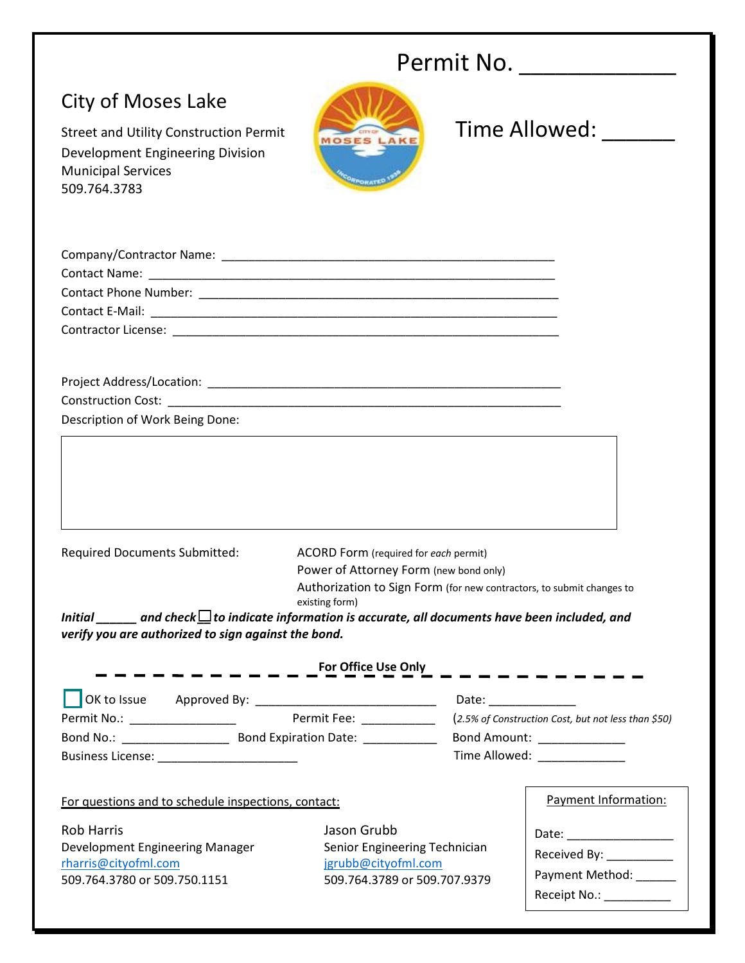|                                                                                                                                                                              | Permit No. _____________                                                                            |                                                                                                                                                                                                                                                                                                                                                                                                                                                                                                                                                                                                                          |  |  |  |  |  |  |  |
|------------------------------------------------------------------------------------------------------------------------------------------------------------------------------|-----------------------------------------------------------------------------------------------------|--------------------------------------------------------------------------------------------------------------------------------------------------------------------------------------------------------------------------------------------------------------------------------------------------------------------------------------------------------------------------------------------------------------------------------------------------------------------------------------------------------------------------------------------------------------------------------------------------------------------------|--|--|--|--|--|--|--|
| City of Moses Lake<br><b>Street and Utility Construction Permit</b><br>Development Engineering Division<br><b>Municipal Services</b><br>509.764.3783                         | CITY OF<br><b>MOSES LAKE</b>                                                                        | Time Allowed: ______                                                                                                                                                                                                                                                                                                                                                                                                                                                                                                                                                                                                     |  |  |  |  |  |  |  |
|                                                                                                                                                                              |                                                                                                     |                                                                                                                                                                                                                                                                                                                                                                                                                                                                                                                                                                                                                          |  |  |  |  |  |  |  |
| Description of Work Being Done:                                                                                                                                              |                                                                                                     |                                                                                                                                                                                                                                                                                                                                                                                                                                                                                                                                                                                                                          |  |  |  |  |  |  |  |
| <b>Required Documents Submitted:</b>                                                                                                                                         | ACORD Form (required for each permit)<br>Power of Attorney Form (new bond only)                     | Authorization to Sign Form (for new contractors, to submit changes to                                                                                                                                                                                                                                                                                                                                                                                                                                                                                                                                                    |  |  |  |  |  |  |  |
| existing form)<br>Initial and check $\Box$ to indicate information is accurate, all documents have been included, and<br>verify you are authorized to sign against the bond. |                                                                                                     |                                                                                                                                                                                                                                                                                                                                                                                                                                                                                                                                                                                                                          |  |  |  |  |  |  |  |
| Business License: _________________________                                                                                                                                  |                                                                                                     | $\frac{1}{2} \left( \frac{1}{2} \right) \left( \frac{1}{2} \right) \left( \frac{1}{2} \right) \left( \frac{1}{2} \right) \left( \frac{1}{2} \right) \left( \frac{1}{2} \right) \left( \frac{1}{2} \right) \left( \frac{1}{2} \right) \left( \frac{1}{2} \right) \left( \frac{1}{2} \right) \left( \frac{1}{2} \right) \left( \frac{1}{2} \right) \left( \frac{1}{2} \right) \left( \frac{1}{2} \right) \left( \frac{1}{2} \right) \left( \frac{1}{2} \right) \left( \frac$<br>Date: _______________<br>(2.5% of Construction Cost, but not less than \$50)<br>Bond Amount: _____________<br>Time Allowed: ______________ |  |  |  |  |  |  |  |
| For questions and to schedule inspections, contact:<br><b>Rob Harris</b><br>Development Engineering Manager<br>rharris@cityofml.com<br>509.764.3780 or 509.750.1151          | Jason Grubb<br>Senior Engineering Technician<br>jgrubb@cityofml.com<br>509.764.3789 or 509.707.9379 | Payment Information:<br>Date: ___________________<br>Received By: ___________<br>Payment Method: ______<br>Receipt No.: ___________                                                                                                                                                                                                                                                                                                                                                                                                                                                                                      |  |  |  |  |  |  |  |